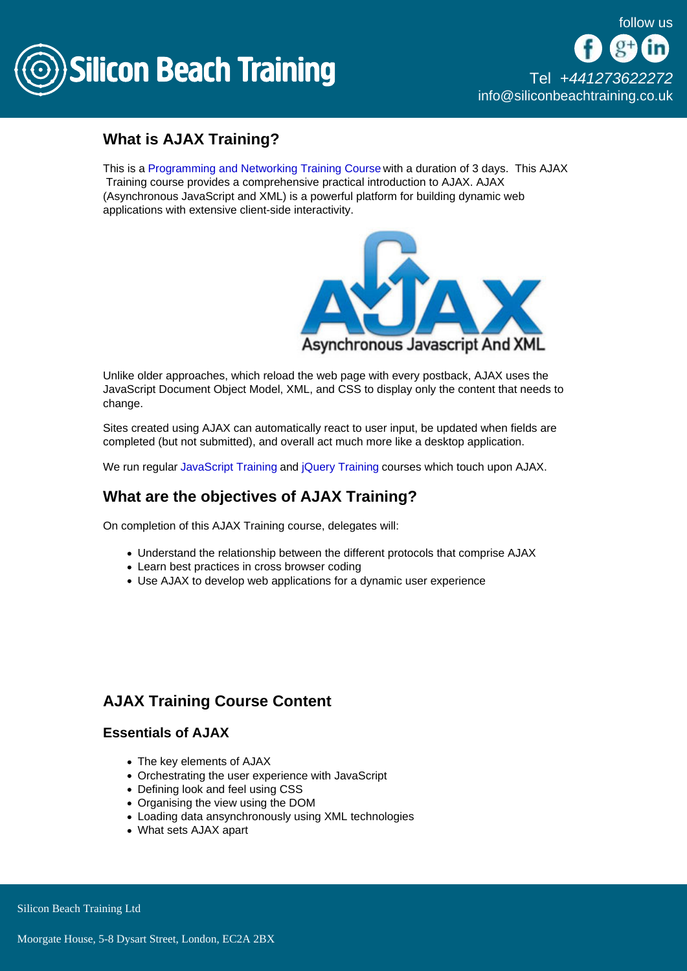

[Tel +44](tel:+441273622272)1273622272 [info@siliconbeachtraining.co.uk](/var/www/html/siliconbeachtraining.co.uk/public/mailTo:info@siliconbeachtraining.co.uk)

# What is AJAX Training?

This is a [Programming and Networking Training Course](/programming-training) with a duration of 3 days. This AJAX Training course provides a comprehensive practical introduction to AJAX. AJAX (Asynchronous JavaScript and XML) is a powerful platform for building dynamic web applications with extensive client-side interactivity.

Unlike older approaches, which reload the web page with every postback, AJAX uses the JavaScript Document Object Model, XML, and CSS to display only the content that needs to change.

Sites created using AJAX can automatically react to user input, be updated when fields are completed (but not submitted), and overall act much more like a desktop application.

We run regular [JavaScript Training](/programming-training/javascript-training) and [jQuery Training](/programming-training/jquery-training) courses which touch upon AJAX.

## What are the objectives of AJAX Training?

On completion of this AJAX Training course, delegates will:

- Understand the relationship between the different protocols that comprise AJAX
- Learn best practices in cross browser coding
- Use AJAX to develop web applications for a dynamic user experience

## AJAX Training Course Content

#### Essentials of AJAX

- The key elements of AJAX
- Orchestrating the user experience with JavaScript
- Defining look and feel using CSS
- Organising the view using the DOM
- Loading data ansynchronously using XML technologies
- What sets AJAX apart

Silicon Beach Training Ltd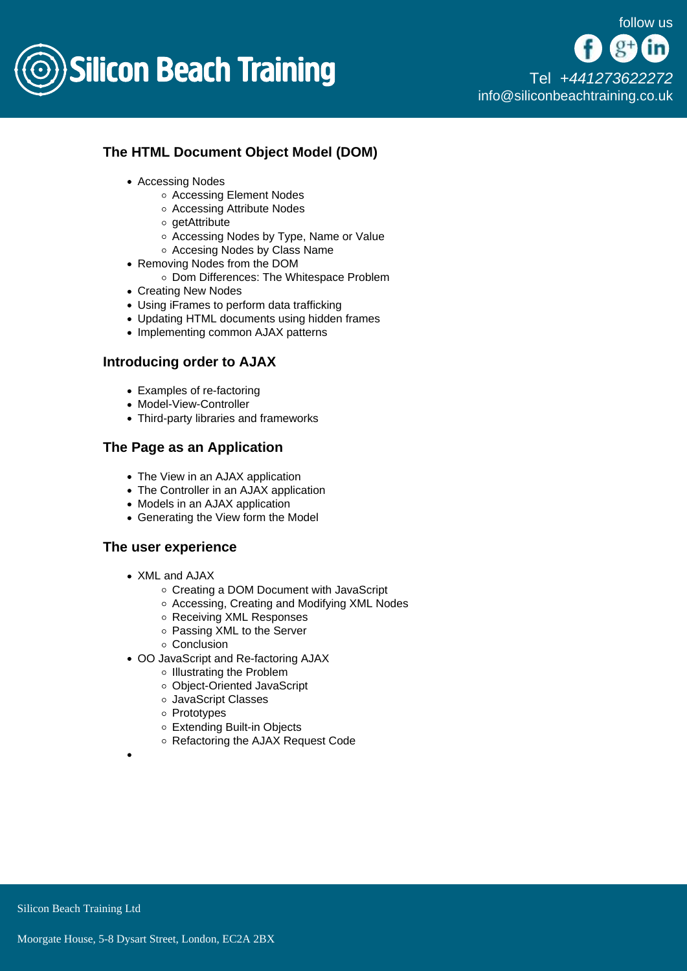

[Tel +44](tel:+441273622272)1273622272 [info@siliconbeachtraining.co.uk](/var/www/html/siliconbeachtraining.co.uk/public/mailTo:info@siliconbeachtraining.co.uk)

### The HTML Document Object Model (DOM)

- Accessing Nodes
	- Accessing Element Nodes
	- Accessing Attribute Nodes
	- o getAttribute
	- o Accessing Nodes by Type, Name or Value
	- Accesing Nodes by Class Name
- Removing Nodes from the DOM
	- o Dom Differences: The Whitespace Problem
- Creating New Nodes
- Using iFrames to perform data trafficking
- Updating HTML documents using hidden frames
- Implementing common AJAX patterns

#### Introducing order to AJAX

- Examples of re-factoring
- Model-View-Controller
- Third-party libraries and frameworks

#### The Page as an Application

- The View in an AJAX application
- The Controller in an AJAX application
- Models in an AJAX application
- Generating the View form the Model

#### The user experience

- XML and AJAX
	- Creating a DOM Document with JavaScript
	- Accessing, Creating and Modifying XML Nodes
	- o Receiving XML Responses
	- o Passing XML to the Server
	- Conclusion
- OO JavaScript and Re-factoring AJAX
	- o Illustrating the Problem
	- Object-Oriented JavaScript
	- JavaScript Classes
	- Prototypes
	- Extending Built-in Objects
	- Refactoring the AJAX Request Code